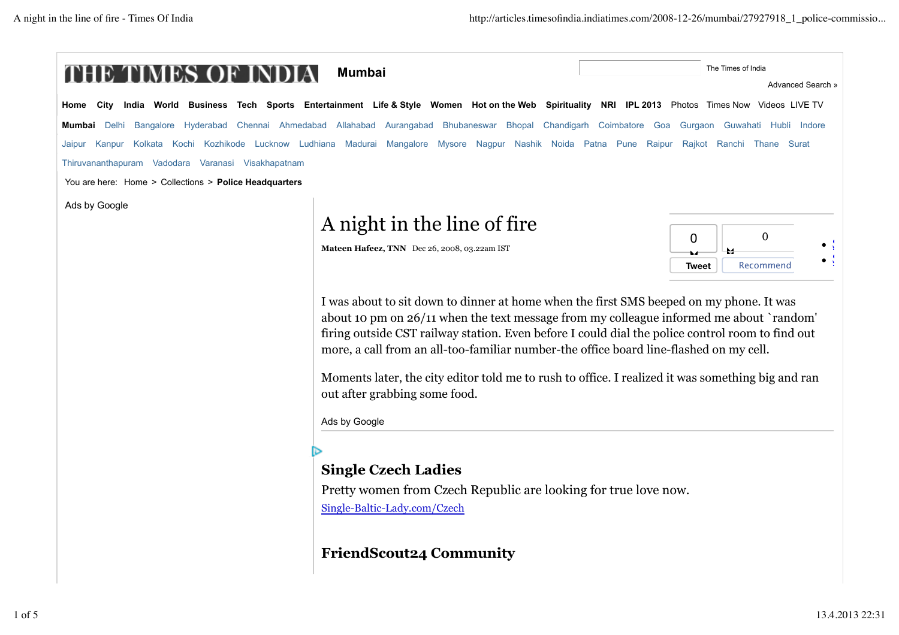|                                                        | <b>Mumbai</b>                                                                                                                                                                                                                                                                                                                                                                                                                                | The Times of India<br>Advanced Search » |
|--------------------------------------------------------|----------------------------------------------------------------------------------------------------------------------------------------------------------------------------------------------------------------------------------------------------------------------------------------------------------------------------------------------------------------------------------------------------------------------------------------------|-----------------------------------------|
| Home                                                   | City India World Business Tech Sports Entertainment Life & Style Women Hotonthe Web Spirituality NRI IPL 2013 Photos Times Now Videos LIVE TV                                                                                                                                                                                                                                                                                                |                                         |
| <b>Mumbai</b> Delhi                                    | Bangalore Hyderabad Chennai Ahmedabad Allahabad Aurangabad Bhubaneswar Bhopal Chandigarh Coimbatore Goa                                                                                                                                                                                                                                                                                                                                      | Gurgaon Guwahati Hubli Indore           |
| Kanpur<br>Jaipur                                       | Kolkata Kochi Kozhikode Lucknow Ludhiana Madurai Mangalore Mysore Nagpur Nashik Noida Patna Pune Raipur                                                                                                                                                                                                                                                                                                                                      | Rajkot Ranchi Thane Surat               |
| Thiruvananthapuram Vadodara Varanasi Visakhapatnam     |                                                                                                                                                                                                                                                                                                                                                                                                                                              |                                         |
| You are here: Home > Collections > Police Headquarters |                                                                                                                                                                                                                                                                                                                                                                                                                                              |                                         |
| Ads by Google                                          |                                                                                                                                                                                                                                                                                                                                                                                                                                              |                                         |
|                                                        | A night in the line of fire                                                                                                                                                                                                                                                                                                                                                                                                                  | $\mathbf 0$                             |
|                                                        | Mateen Hafeez, TNN Dec 26, 2008, 03.22am IST                                                                                                                                                                                                                                                                                                                                                                                                 | 0                                       |
|                                                        |                                                                                                                                                                                                                                                                                                                                                                                                                                              | Recommend<br>Tweet                      |
|                                                        | about 10 pm on 26/11 when the text message from my colleague informed me about `random'<br>firing outside CST railway station. Even before I could dial the police control room to find out<br>more, a call from an all-too-familiar number-the office board line-flashed on my cell.<br>Moments later, the city editor told me to rush to office. I realized it was something big and ran<br>out after grabbing some food.<br>Ads by Google |                                         |
|                                                        |                                                                                                                                                                                                                                                                                                                                                                                                                                              |                                         |
|                                                        | <b>Single Czech Ladies</b>                                                                                                                                                                                                                                                                                                                                                                                                                   |                                         |
|                                                        | Pretty women from Czech Republic are looking for true love now.                                                                                                                                                                                                                                                                                                                                                                              |                                         |
|                                                        | Single-Baltic-Lady.com/Czech                                                                                                                                                                                                                                                                                                                                                                                                                 |                                         |
|                                                        |                                                                                                                                                                                                                                                                                                                                                                                                                                              |                                         |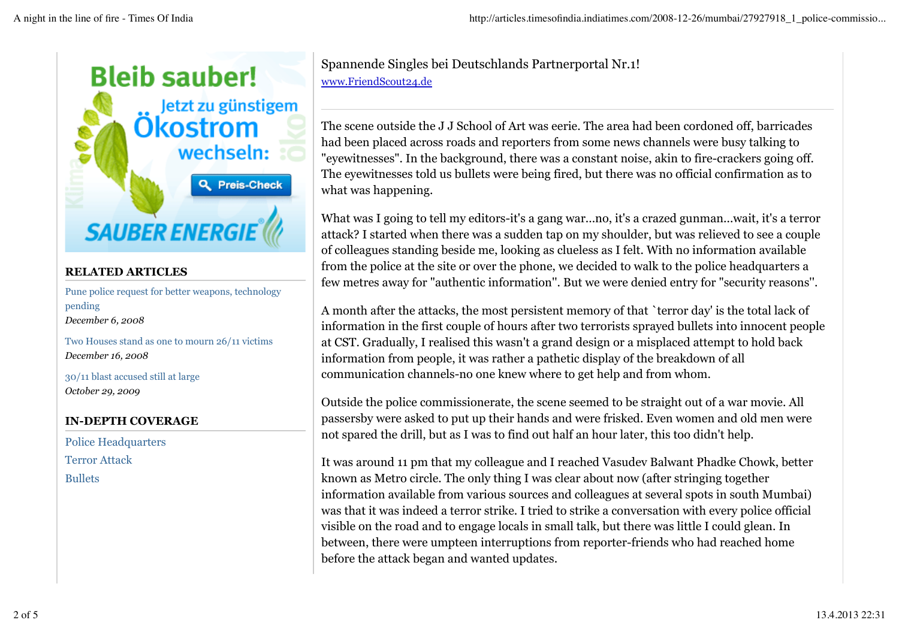

## **RELATED ARTICLES**

Pune police request for better weapons, technology pending *December 6, 2008*

Two Houses stand as one to mourn 26/11 victims *December 16, 2008*

30/11 blast accused still at large *October 29, 2009*

### **IN-DEPTH COVERAGE**

Police Headquarters Terror Attack Bullets

Spannende Singles bei Deutschlands Partnerportal Nr.1! www.FriendScout24.de

The scene outside the J J School of Art was eerie. The area had been cordoned off, barricades had been placed across roads and reporters from some news channels were busy talking to "eyewitnesses". In the background, there was a constant noise, akin to fire-crackers going off. The eyewitnesses told us bullets were being fired, but there was no official confirmation as to what was happening.

What was I going to tell my editors-it's a gang war...no, it's a crazed gunman...wait, it's a terror attack? I started when there was a sudden tap on my shoulder, but was relieved to see a couple of colleagues standing beside me, looking as clueless as I felt. With no information available from the police at the site or over the phone, we decided to walk to the police headquarters a few metres away for "authentic information''. But we were denied entry for "security reasons''.

A month after the attacks, the most persistent memory of that `terror day' is the total lack of information in the first couple of hours after two terrorists sprayed bullets into innocent people at CST. Gradually, I realised this wasn't a grand design or a misplaced attempt to hold back information from people, it was rather a pathetic display of the breakdown of all communication channels-no one knew where to get help and from whom.

Outside the police commissionerate, the scene seemed to be straight out of a war movie. All passersby were asked to put up their hands and were frisked. Even women and old men were not spared the drill, but as I was to find out half an hour later, this too didn't help.

It was around 11 pm that my colleague and I reached Vasudev Balwant Phadke Chowk, better known as Metro circle. The only thing I was clear about now (after stringing together information available from various sources and colleagues at several spots in south Mumbai) was that it was indeed a terror strike. I tried to strike a conversation with every police official visible on the road and to engage locals in small talk, but there was little I could glean. In between, there were umpteen interruptions from reporter-friends who had reached home before the attack began and wanted updates.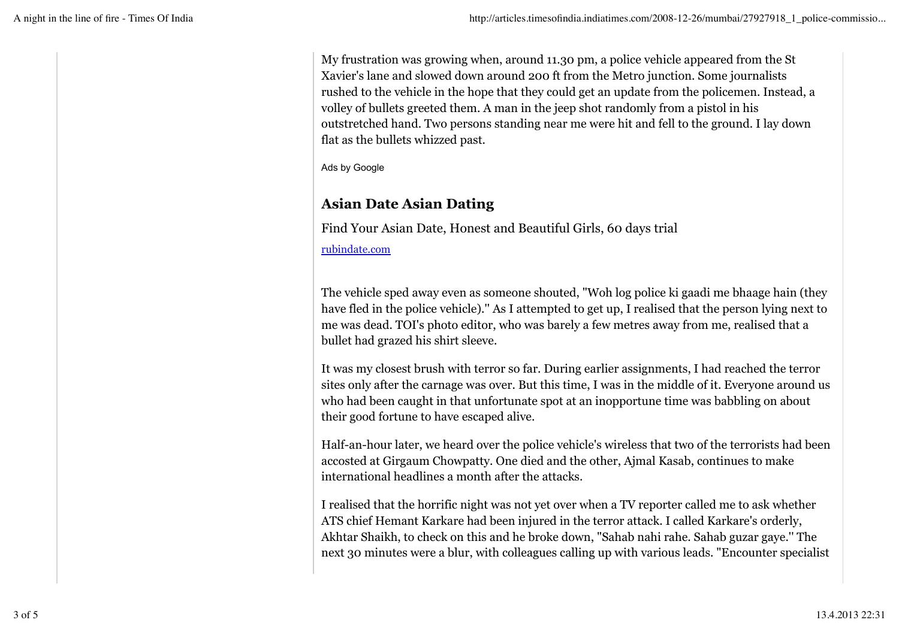My frustration was growing when, around 11.30 pm, a police vehicle appeared from the St Xavier's lane and slowed down around 200 ft from the Metro junction. Some journalists rushed to the vehicle in the hope that they could get an update from the policemen. Instead, a volley of bullets greeted them. A man in the jeep shot randomly from a pistol in his outstretched hand. Two persons standing near me were hit and fell to the ground. I lay down flat as the bullets whizzed past.

Ads by Google

# **Asian Date Asian Dating**

Find Your Asian Date, Honest and Beautiful Girls, 60 days trial

rubindate.com

The vehicle sped away even as someone shouted, "Woh log police ki gaadi me bhaage hain (they have fled in the police vehicle).'' As I attempted to get up, I realised that the person lying next to me was dead. TOI's photo editor, who was barely a few metres away from me, realised that a bullet had grazed his shirt sleeve.

It was my closest brush with terror so far. During earlier assignments, I had reached the terror sites only after the carnage was over. But this time, I was in the middle of it. Everyone around us who had been caught in that unfortunate spot at an inopportune time was babbling on about their good fortune to have escaped alive.

Half-an-hour later, we heard over the police vehicle's wireless that two of the terrorists had been accosted at Girgaum Chowpatty. One died and the other, Ajmal Kasab, continues to make international headlines a month after the attacks.

I realised that the horrific night was not yet over when a TV reporter called me to ask whether ATS chief Hemant Karkare had been injured in the terror attack. I called Karkare's orderly, Akhtar Shaikh, to check on this and he broke down, "Sahab nahi rahe. Sahab guzar gaye.'' The next 30 minutes were a blur, with colleagues calling up with various leads. "Encounter specialist